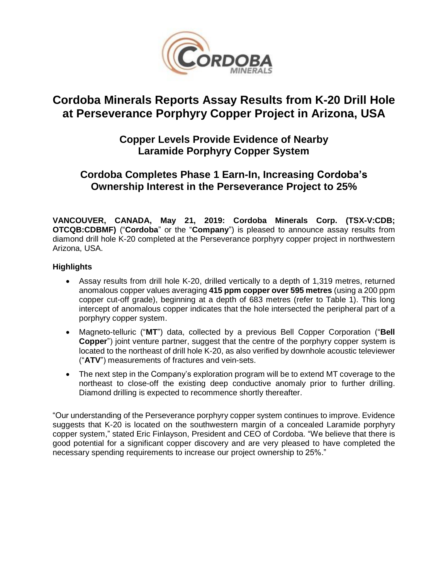

# **Cordoba Minerals Reports Assay Results from K-20 Drill Hole at Perseverance Porphyry Copper Project in Arizona, USA**

### **Copper Levels Provide Evidence of Nearby Laramide Porphyry Copper System**

## **Cordoba Completes Phase 1 Earn-In, Increasing Cordoba's Ownership Interest in the Perseverance Project to 25%**

**VANCOUVER, CANADA, May 21, 2019: Cordoba Minerals Corp. (TSX-V:CDB; OTCQB:CDBMF)** ("**Cordoba**" or the "**Company**") is pleased to announce assay results from diamond drill hole K-20 completed at the Perseverance porphyry copper project in northwestern Arizona, USA.

### **Highlights**

- Assay results from drill hole K-20, drilled vertically to a depth of 1,319 metres, returned anomalous copper values averaging **415 ppm copper over 595 metres** (using a 200 ppm copper cut-off grade), beginning at a depth of 683 metres (refer to Table 1). This long intercept of anomalous copper indicates that the hole intersected the peripheral part of a porphyry copper system.
- Magneto-telluric ("**MT**") data, collected by a previous Bell Copper Corporation ("**Bell Copper**") joint venture partner, suggest that the centre of the porphyry copper system is located to the northeast of drill hole K-20, as also verified by downhole acoustic televiewer ("**ATV**") measurements of fractures and vein-sets.
- The next step in the Company's exploration program will be to extend MT coverage to the northeast to close-off the existing deep conductive anomaly prior to further drilling. Diamond drilling is expected to recommence shortly thereafter.

"Our understanding of the Perseverance porphyry copper system continues to improve. Evidence suggests that K-20 is located on the southwestern margin of a concealed Laramide porphyry copper system," stated Eric Finlayson, President and CEO of Cordoba. "We believe that there is good potential for a significant copper discovery and are very pleased to have completed the necessary spending requirements to increase our project ownership to 25%."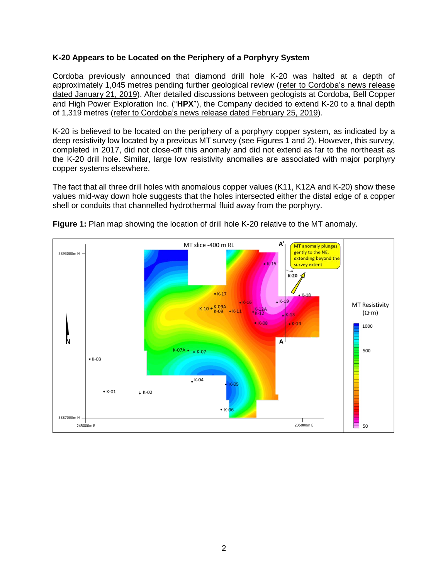#### **K-20 Appears to be Located on the Periphery of a Porphyry System**

Cordoba previously announced that diamond drill hole K-20 was halted at a depth of approximately 1,045 metres pending further geological review (refer to [Cordoba's](http://www.cordobaminerals.com/news/2019/drilling-at-perseverance-in-arizona-usa-suggests-proximity-to-porphyry-copper-system) news release dated [January](http://www.cordobaminerals.com/news/2019/drilling-at-perseverance-in-arizona-usa-suggests-proximity-to-porphyry-copper-system) 21, 2019). After detailed discussions between geologists at Cordoba, Bell Copper and High Power Exploration Inc. ("**HPX**"), the Company decided to extend K-20 to a final depth of 1,319 metres (refer to [Cordoba's](http://www.cordobaminerals.com/news/2019/diamond-drilling-restarts-at-perseverance-in-arizona-usa) news release dated February 25, 2019).

K-20 is believed to be located on the periphery of a porphyry copper system, as indicated by a deep resistivity low located by a previous MT survey (see Figures 1 and 2). However, this survey, completed in 2017, did not close-off this anomaly and did not extend as far to the northeast as the K-20 drill hole. Similar, large low resistivity anomalies are associated with major porphyry copper systems elsewhere.

The fact that all three drill holes with anomalous copper values (K11, K12A and K-20) show these values mid-way down hole suggests that the holes intersected either the distal edge of a copper shell or conduits that channelled hydrothermal fluid away from the porphyry.



**Figure 1:** Plan map showing the location of drill hole K-20 relative to the MT anomaly.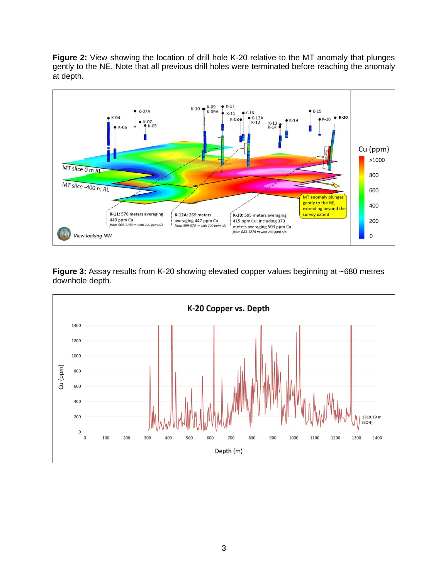**Figure 2:** View showing the location of drill hole K-20 relative to the MT anomaly that plunges gently to the NE. Note that all previous drill holes were terminated before reaching the anomaly at depth.



**Figure 3:** Assay results from K-20 showing elevated copper values beginning at ~680 metres downhole depth.

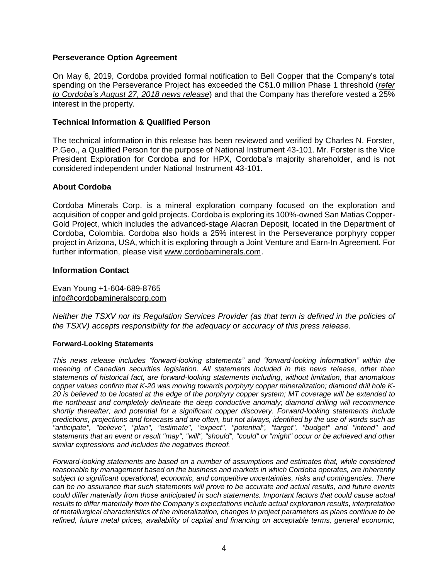#### **Perseverance Option Agreement**

On May 6, 2019, Cordoba provided formal notification to Bell Copper that the Company's total spending on the Perseverance Project has exceeded the C\$1.0 million Phase 1 threshold (*[refer](http://www.cordobaminerals.com/news/2018/cordoba-minerals-to-drill-a-copper-porphyry-target) to [Cordoba's](http://www.cordobaminerals.com/news/2018/cordoba-minerals-to-drill-a-copper-porphyry-target) August 27, 2018 news release*) and that the Company has therefore vested a 25% interest in the property.

#### **Technical Information & Qualified Person**

The technical information in this release has been reviewed and verified by Charles N. Forster, P.Geo., a Qualified Person for the purpose of National Instrument 43-101. Mr. Forster is the Vice President Exploration for Cordoba and for HPX, Cordoba's majority shareholder, and is not considered independent under National Instrument 43-101.

#### **About Cordoba**

Cordoba Minerals Corp. is a mineral exploration company focused on the exploration and acquisition of copper and gold projects. Cordoba is exploring its 100%-owned San Matias Copper-Gold Project, which includes the advanced-stage Alacran Deposit, located in the Department of Cordoba, Colombia. Cordoba also holds a 25% interest in the Perseverance porphyry copper project in Arizona, USA, which it is exploring through a Joint Venture and Earn-In Agreement. For further information, please visit [www.cordobaminerals.com.](http://www.cordobaminerals.com/)

#### **Information Contact**

Evan Young +1-604-689-8765 [info@cordobamineralscorp.com](mailto:info@cordobamineralscorp.com)

*Neither the TSXV nor its Regulation Services Provider (as that term is defined in the policies of the TSXV) accepts responsibility for the adequacy or accuracy of this press release.*

#### **Forward-Looking Statements**

*This news release includes "forward-looking statements" and "forward-looking information" within the meaning of Canadian securities legislation. All statements included in this news release, other than statements of historical fact, are forward-looking statements including, without limitation, that anomalous copper values confirm that K-20 was moving towards porphyry copper mineralization; diamond drill hole K-*20 is believed to be located at the edge of the porphyry copper system; MT coverage will be extended to *the northeast and completely delineate the deep conductive anomaly; diamond drilling will recommence shortly thereafter; and potential for a significant copper discovery. Forward-looking statements include* predictions, projections and forecasts and are often, but not always, identified by the use of words such as *"anticipate", "believe", "plan", "estimate", "expect", "potential", "target", "budget" and "intend" and* statements that an event or result "may", "will", "should", "could" or "might" occur or be achieved and other *similar expressions and includes the negatives thereof.*

*Forward-looking statements are based on a number of assumptions and estimates that, while considered reasonable by management based on the business and markets in which Cordoba operates, are inherently subject to significant operational, economic, and competitive uncertainties, risks and contingencies. There* can be no assurance that such statements will prove to be accurate and actual results, and future events *could differ materially from those anticipated in such statements. Important factors that could cause actual results to differ materially from the Company's expectations include actual exploration results, interpretation of metallurgical characteristics of the mineralization, changes in project parameters as plans continue to be refined, future metal prices, availability of capital and financing on acceptable terms, general economic,*